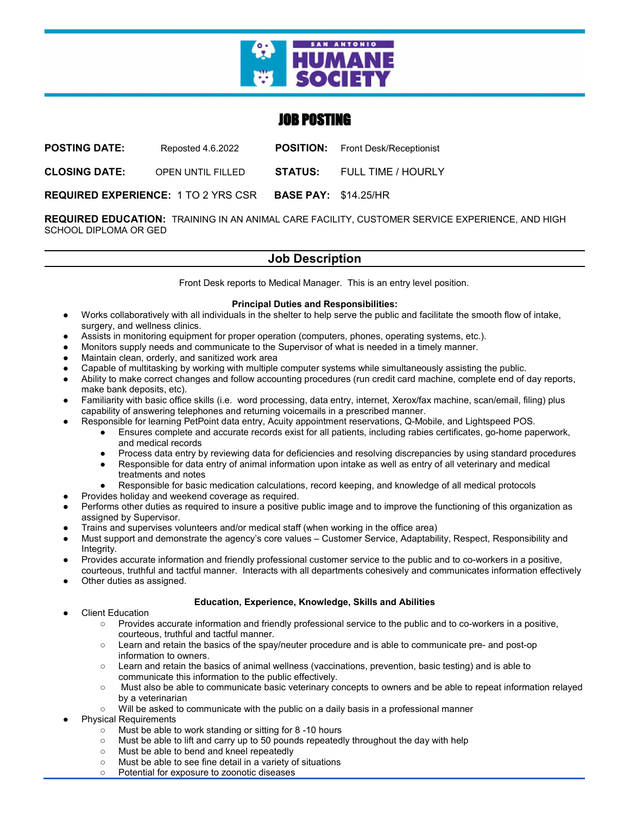

# JOB POSTING

**POSTING DATE:** Reposted 4.6.2022 **POSITION:** Front Desk/Receptionist

**CLOSING DATE:** OPEN UNTIL FILLED **STATUS:** FULL TIME / HOURLY

**REQUIRED EXPERIENCE:** 1 TO 2 YRS CSR **BASE PAY:** \$14.25/HR

**REQUIRED EDUCATION:** TRAINING IN AN ANIMAL CARE FACILITY, CUSTOMER SERVICE EXPERIENCE, AND HIGH SCHOOL DIPLOMA OR GED

# **Job Description**

Front Desk reports to Medical Manager. This is an entry level position.

## **Principal Duties and Responsibilities:**

- Works collaboratively with all individuals in the shelter to help serve the public and facilitate the smooth flow of intake, surgery, and wellness clinics.
- Assists in monitoring equipment for proper operation (computers, phones, operating systems, etc.).
- Monitors supply needs and communicate to the Supervisor of what is needed in a timely manner.
- Maintain clean, orderly, and sanitized work area
- Capable of multitasking by working with multiple computer systems while simultaneously assisting the public.
- Ability to make correct changes and follow accounting procedures (run credit card machine, complete end of day reports, make bank deposits, etc).
- Familiarity with basic office skills (i.e. word processing, data entry, internet, Xerox/fax machine, scan/email, filing) plus capability of answering telephones and returning voicemails in a prescribed manner.
- Responsible for learning PetPoint data entry, Acuity appointment reservations, Q-Mobile, and Lightspeed POS.
	- Ensures complete and accurate records exist for all patients, including rabies certificates, go-home paperwork, and medical records
	- Process data entry by reviewing data for deficiencies and resolving discrepancies by using standard procedures
	- Responsible for data entry of animal information upon intake as well as entry of all veterinary and medical treatments and notes
	- Responsible for basic medication calculations, record keeping, and knowledge of all medical protocols
- Provides holiday and weekend coverage as required.
- Performs other duties as required to insure a positive public image and to improve the functioning of this organization as assigned by Supervisor.
- Trains and supervises volunteers and/or medical staff (when working in the office area)
- Must support and demonstrate the agency's core values Customer Service, Adaptability, Respect, Responsibility and Integrity.
- Provides accurate information and friendly professional customer service to the public and to co-workers in a positive, courteous, truthful and tactful manner. Interacts with all departments cohesively and communicates information effectively
- Other duties as assigned.

### **Education, Experience, Knowledge, Skills and Abilities**

- **Client Education** 
	- Provides accurate information and friendly professional service to the public and to co-workers in a positive, courteous, truthful and tactful manner.
	- Learn and retain the basics of the spay/neuter procedure and is able to communicate pre- and post-op information to owners.
	- Learn and retain the basics of animal wellness (vaccinations, prevention, basic testing) and is able to communicate this information to the public effectively.
	- Must also be able to communicate basic veterinary concepts to owners and be able to repeat information relayed by a veterinarian
	- Will be asked to communicate with the public on a daily basis in a professional manner
- **Physical Requirements** 
	- Must be able to work standing or sitting for 8 -10 hours
	- Must be able to lift and carry up to 50 pounds repeatedly throughout the day with help
	- Must be able to bend and kneel repeatedly
	- Must be able to see fine detail in a variety of situations
	- Potential for exposure to zoonotic diseases